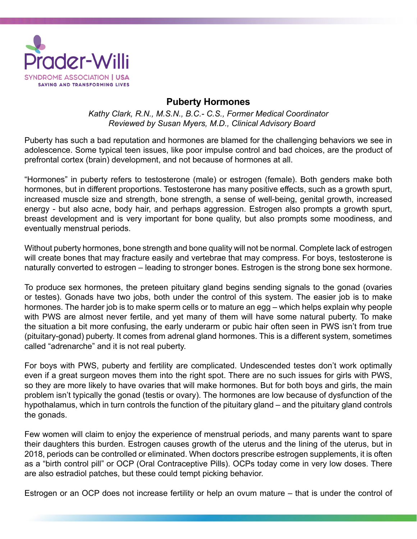

## **Puberty Hormones**

*Kathy Clark, R.N., M.S.N., B.C.- C.S., Former Medical Coordinator Reviewed by Susan Myers, M.D., Clinical Advisory Board*

Puberty has such a bad reputation and hormones are blamed for the challenging behaviors we see in adolescence. Some typical teen issues, like poor impulse control and bad choices, are the product of prefrontal cortex (brain) development, and not because of hormones at all.

"Hormones" in puberty refers to testosterone (male) or estrogen (female). Both genders make both hormones, but in different proportions. Testosterone has many positive effects, such as a growth spurt, increased muscle size and strength, bone strength, a sense of well-being, genital growth, increased energy - but also acne, body hair, and perhaps aggression. Estrogen also prompts a growth spurt, breast development and is very important for bone quality, but also prompts some moodiness, and eventually menstrual periods.

Without puberty hormones, bone strength and bone quality will not be normal. Complete lack of estrogen will create bones that may fracture easily and vertebrae that may compress. For boys, testosterone is naturally converted to estrogen – leading to stronger bones. Estrogen is the strong bone sex hormone.

To produce sex hormones, the preteen pituitary gland begins sending signals to the gonad (ovaries or testes). Gonads have two jobs, both under the control of this system. The easier job is to make hormones. The harder job is to make sperm cells or to mature an egg – which helps explain why people with PWS are almost never fertile, and yet many of them will have some natural puberty. To make the situation a bit more confusing, the early underarm or pubic hair often seen in PWS isn't from true (pituitary-gonad) puberty. It comes from adrenal gland hormones. This is a different system, sometimes called "adrenarche" and it is not real puberty.

For boys with PWS, puberty and fertility are complicated. Undescended testes don't work optimally even if a great surgeon moves them into the right spot. There are no such issues for girls with PWS, so they are more likely to have ovaries that will make hormones. But for both boys and girls, the main problem isn't typically the gonad (testis or ovary). The hormones are low because of dysfunction of the hypothalamus, which in turn controls the function of the pituitary gland – and the pituitary gland controls the gonads.

Few women will claim to enjoy the experience of menstrual periods, and many parents want to spare their daughters this burden. Estrogen causes growth of the uterus and the lining of the uterus, but in 2018, periods can be controlled or eliminated. When doctors prescribe estrogen supplements, it is often as a "birth control pill" or OCP (Oral Contraceptive Pills). OCPs today come in very low doses. There are also estradiol patches, but these could tempt picking behavior.

Estrogen or an OCP does not increase fertility or help an ovum mature – that is under the control of